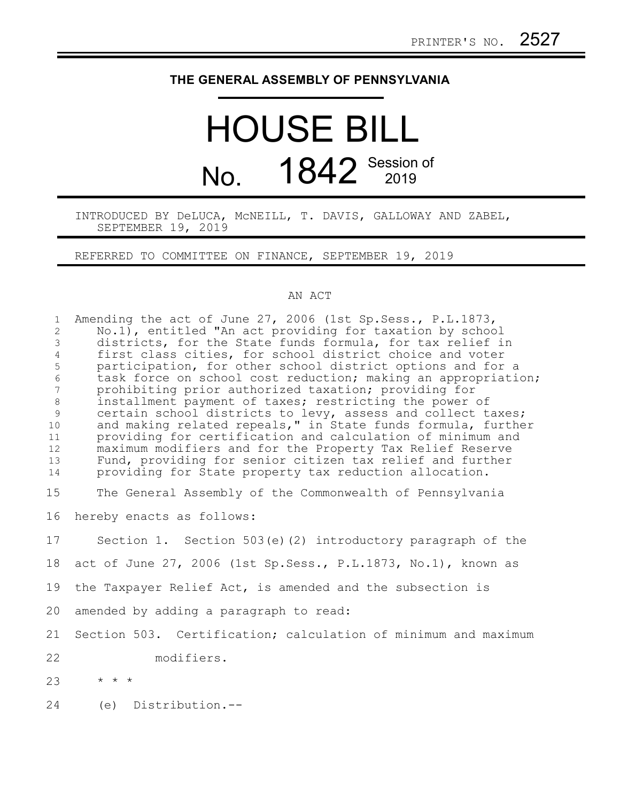## **THE GENERAL ASSEMBLY OF PENNSYLVANIA**

## HOUSE BILL No. 1842 Session of

INTRODUCED BY DeLUCA, McNEILL, T. DAVIS, GALLOWAY AND ZABEL, SEPTEMBER 19, 2019

REFERRED TO COMMITTEE ON FINANCE, SEPTEMBER 19, 2019

## AN ACT

| $\mathbf{1}$<br>$\overline{2}$<br>$\mathfrak{Z}$<br>$\overline{4}$<br>5<br>$\sqrt{6}$<br>$\overline{7}$<br>$\,8\,$<br>$\overline{9}$<br>10<br>11<br>12<br>13<br>14 | Amending the act of June 27, 2006 (1st Sp. Sess., P. L. 1873,<br>No.1), entitled "An act providing for taxation by school<br>districts, for the State funds formula, for tax relief in<br>first class cities, for school district choice and voter<br>participation, for other school district options and for a<br>task force on school cost reduction; making an appropriation;<br>prohibiting prior authorized taxation; providing for<br>installment payment of taxes; restricting the power of<br>certain school districts to levy, assess and collect taxes;<br>and making related repeals," in State funds formula, further<br>providing for certification and calculation of minimum and<br>maximum modifiers and for the Property Tax Relief Reserve<br>Fund, providing for senior citizen tax relief and further<br>providing for State property tax reduction allocation. |
|--------------------------------------------------------------------------------------------------------------------------------------------------------------------|--------------------------------------------------------------------------------------------------------------------------------------------------------------------------------------------------------------------------------------------------------------------------------------------------------------------------------------------------------------------------------------------------------------------------------------------------------------------------------------------------------------------------------------------------------------------------------------------------------------------------------------------------------------------------------------------------------------------------------------------------------------------------------------------------------------------------------------------------------------------------------------|
| 15                                                                                                                                                                 | The General Assembly of the Commonwealth of Pennsylvania                                                                                                                                                                                                                                                                                                                                                                                                                                                                                                                                                                                                                                                                                                                                                                                                                             |
| 16                                                                                                                                                                 | hereby enacts as follows:                                                                                                                                                                                                                                                                                                                                                                                                                                                                                                                                                                                                                                                                                                                                                                                                                                                            |
| 17                                                                                                                                                                 | Section 1. Section 503(e)(2) introductory paragraph of the                                                                                                                                                                                                                                                                                                                                                                                                                                                                                                                                                                                                                                                                                                                                                                                                                           |
| 18                                                                                                                                                                 | act of June 27, 2006 (1st Sp. Sess., P.L.1873, No.1), known as                                                                                                                                                                                                                                                                                                                                                                                                                                                                                                                                                                                                                                                                                                                                                                                                                       |
| 19                                                                                                                                                                 | the Taxpayer Relief Act, is amended and the subsection is                                                                                                                                                                                                                                                                                                                                                                                                                                                                                                                                                                                                                                                                                                                                                                                                                            |
| 20                                                                                                                                                                 | amended by adding a paragraph to read:                                                                                                                                                                                                                                                                                                                                                                                                                                                                                                                                                                                                                                                                                                                                                                                                                                               |
| 21                                                                                                                                                                 | Section 503. Certification; calculation of minimum and maximum                                                                                                                                                                                                                                                                                                                                                                                                                                                                                                                                                                                                                                                                                                                                                                                                                       |
| 22                                                                                                                                                                 | modifiers.                                                                                                                                                                                                                                                                                                                                                                                                                                                                                                                                                                                                                                                                                                                                                                                                                                                                           |
| 23                                                                                                                                                                 | $\star$ $\star$ $\star$                                                                                                                                                                                                                                                                                                                                                                                                                                                                                                                                                                                                                                                                                                                                                                                                                                                              |
| 24                                                                                                                                                                 | (e) Distribution.--                                                                                                                                                                                                                                                                                                                                                                                                                                                                                                                                                                                                                                                                                                                                                                                                                                                                  |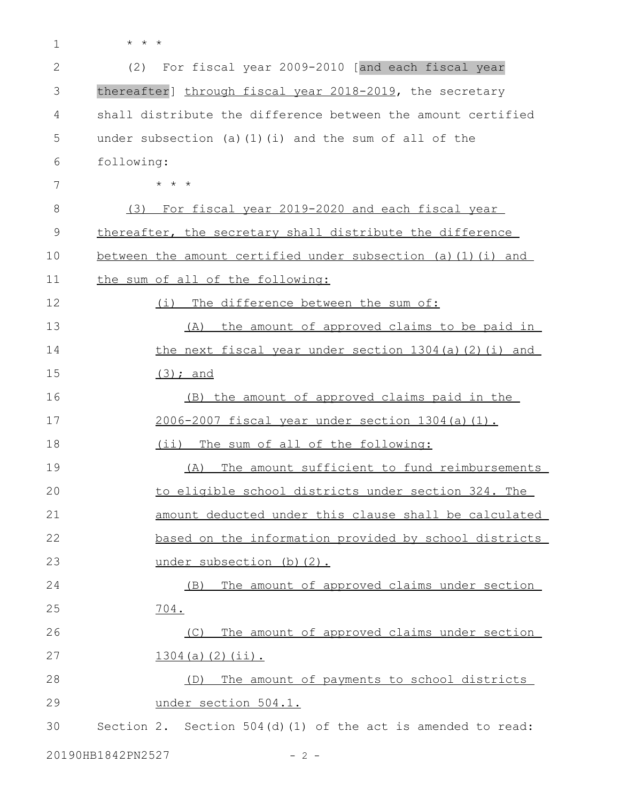- 1
- \* \* \*

| 2  | For fiscal year 2009-2010 [and each fiscal year<br>(2)         |
|----|----------------------------------------------------------------|
| 3  | thereafter] through fiscal year 2018-2019, the secretary       |
| 4  | shall distribute the difference between the amount certified   |
| 5  | under subsection (a) $(1)$ (i) and the sum of all of the       |
| 6  | following:                                                     |
| 7  | $\star$ $\star$ $\star$                                        |
| 8  | <u>(3) For fiscal year 2019-2020 and each fiscal year</u>      |
| 9  | thereafter, the secretary shall distribute the difference      |
| 10 | between the amount certified under subsection (a) (1) (i) and  |
| 11 | the sum of all of the following:                               |
| 12 | The difference between the sum of:<br>(i)                      |
| 13 | the amount of approved claims to be paid in<br>(A)             |
| 14 | the next fiscal year under section 1304(a)(2)(i) and           |
| 15 | $(3)$ ; and                                                    |
| 16 | (B) the amount of approved claims paid in the                  |
| 17 | 2006-2007 fiscal year under section 1304 (a) (1).              |
| 18 | The sum of all of the following:<br>$(i$ i)                    |
| 19 | The amount sufficient to fund reimbursements<br>(A)            |
| 20 | to eligible school districts under section 324. The            |
| 21 | amount deducted under this clause shall be calculated          |
| 22 | based on the information provided by school districts          |
| 23 | under subsection (b) (2).                                      |
| 24 | The amount of approved claims under section<br>(B)             |
| 25 | 704.                                                           |
| 26 | The amount of approved claims under section<br>(C)             |
| 27 | $1304(a) (2) (ii)$ .                                           |
| 28 | The amount of payments to school districts<br>(D)              |
| 29 | under section 504.1.                                           |
| 30 | Section 2. Section $504(d)$ (1) of the act is amended to read: |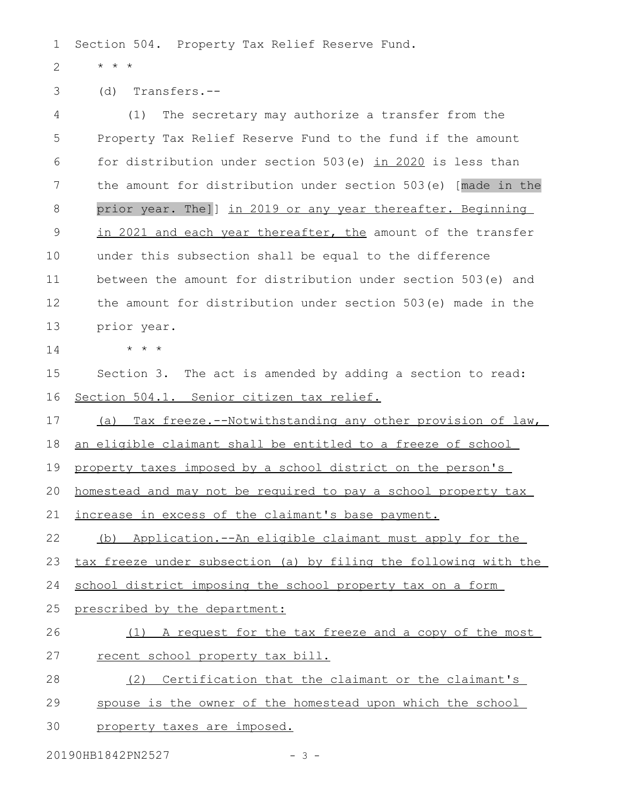Section 504. Property Tax Relief Reserve Fund. 1

\* \* \* 2

(d) Transfers.-- 3

(1) The secretary may authorize a transfer from the Property Tax Relief Reserve Fund to the fund if the amount for distribution under section 503(e) in 2020 is less than the amount for distribution under section 503(e) [made in the prior year. The]] in 2019 or any year thereafter. Beginning in 2021 and each year thereafter, the amount of the transfer under this subsection shall be equal to the difference between the amount for distribution under section 503(e) and the amount for distribution under section 503(e) made in the prior year. \* \* \* 4 5 6 7 8 9 10 11 12 13 14

Section 3. The act is amended by adding a section to read: Section 504.1. Senior citizen tax relief. 15 16

(a) Tax freeze.--Notwithstanding any other provision of law, 17

an eligible claimant shall be entitled to a freeze of school 18

property taxes imposed by a school district on the person's 19

homestead and may not be required to pay a school property tax 20

increase in excess of the claimant's base payment. 21

(b) Application.--An eligible claimant must apply for the 22

tax freeze under subsection (a) by filing the following with the 23

school district imposing the school property tax on a form 24

- prescribed by the department: 25
- (1) A request for the tax freeze and a copy of the most recent school property tax bill. 26 27
- (2) Certification that the claimant or the claimant's 28
- spouse is the owner of the homestead upon which the school 29
- property taxes are imposed. 30

20190HB1842PN2527 - 3 -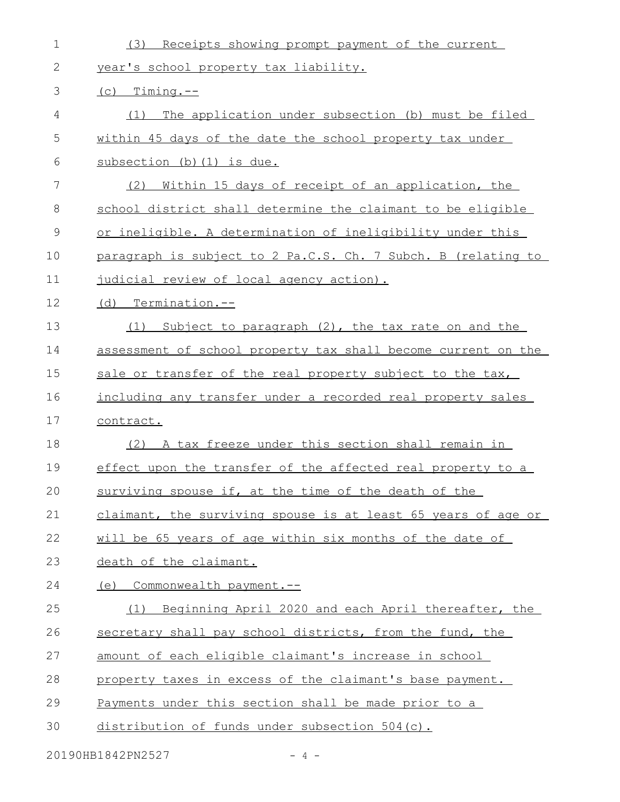| $\mathbf 1$ | (3)<br>Receipts showing prompt payment of the current          |
|-------------|----------------------------------------------------------------|
| 2           | year's school property tax liability.                          |
| 3           | $(c)$ Timing.--                                                |
| 4           | The application under subsection (b) must be filed<br>(1)      |
| 5           | within 45 days of the date the school property tax under       |
| 6           | subsection (b) (1) is due.                                     |
| 7           | <u>Within 15 days of receipt of an application, the</u><br>(2) |
| 8           | school district shall determine the claimant to be eligible    |
| 9           | or ineligible. A determination of ineligibility under this     |
| 10          | paragraph is subject to 2 Pa.C.S. Ch. 7 Subch. B (relating to  |
| 11          | judicial review of local agency action).                       |
| 12          | (d) Termination.--                                             |
| 13          | Subject to paragraph (2), the tax rate on and the<br>(1)       |
| 14          | assessment of school property tax shall become current on the  |
| 15          | sale or transfer of the real property subject to the tax,      |
| 16          | including any transfer under a recorded real property sales    |
| 17          | contract.                                                      |
| 18          | (2) A tax freeze under this section shall remain in            |
| 19          | effect upon the transfer of the affected real property to a    |
| 20          | surviving spouse if, at the time of the death of the           |
| 21          | claimant, the surviving spouse is at least 65 years of age or  |
| 22          | will be 65 years of age within six months of the date of       |
| 23          | death of the claimant.                                         |
| 24          | (e) Commonwealth payment.--                                    |
| 25          | (1) Beginning April 2020 and each April thereafter, the        |
| 26          | secretary shall pay school districts, from the fund, the       |
| 27          | amount of each eligible claimant's increase in school          |
| 28          | property taxes in excess of the claimant's base payment.       |
| 29          | Payments under this section shall be made prior to a           |
| 30          | distribution of funds under subsection 504(c).                 |
|             | 20190HB1842PN2527<br>$-4-$                                     |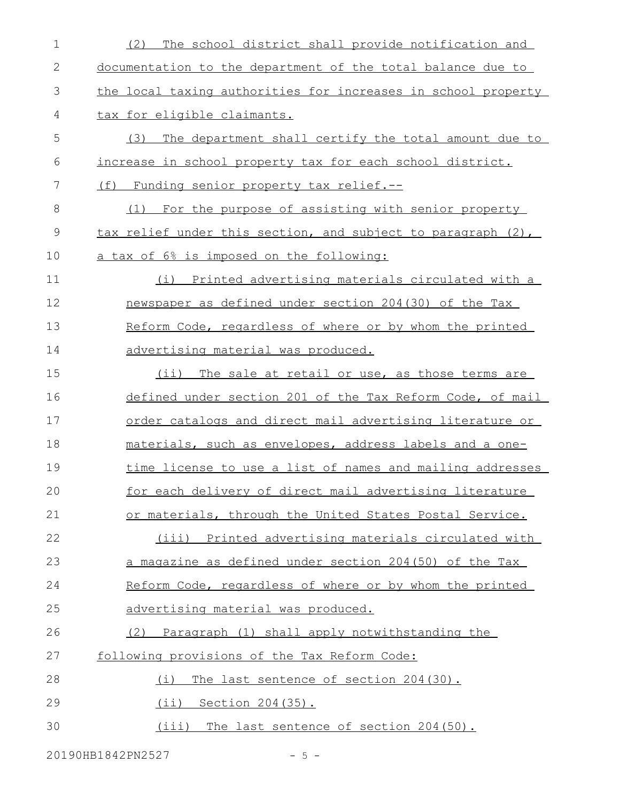| $\mathbf 1$   | The school district shall provide notification and<br>(2)     |
|---------------|---------------------------------------------------------------|
| 2             | documentation to the department of the total balance due to   |
| 3             | the local taxing authorities for increases in school property |
| 4             | tax for eligible claimants.                                   |
| 5             | (3) The department shall certify the total amount due to      |
| 6             | increase in school property tax for each school district.     |
| 7             | (f) Funding senior property tax relief.--                     |
| 8             | (1) For the purpose of assisting with senior property         |
| $\mathcal{G}$ | tax relief under this section, and subject to paragraph (2),  |
| 10            | a tax of 6% is imposed on the following:                      |
| 11            | (i) Printed advertising materials circulated with a           |
| 12            | newspaper as defined under section 204(30) of the Tax         |
| 13            | Reform Code, regardless of where or by whom the printed       |
| 14            | advertising material was produced.                            |
| 15            | $(i$ i)<br>The sale at retail or use, as those terms are      |
| 16            | defined under section 201 of the Tax Reform Code, of mail     |
| 17            | order catalogs and direct mail advertising literature or      |
| 18            | materials, such as envelopes, address labels and a one-       |
| 19            | time license to use a list of names and mailing addresses     |
| 20            | for each delivery of direct mail advertising literature       |
| 21            | or materials, through the United States Postal Service.       |
| 22            | (iii) Printed advertising materials circulated with           |
| 23            | a magazine as defined under section 204(50) of the Tax        |
| 24            | Reform Code, regardless of where or by whom the printed       |
| 25            | advertising material was produced.                            |
| 26            | Paragraph (1) shall apply notwithstanding the<br>(2)          |
| 27            | following provisions of the Tax Reform Code:                  |
| 28            | The last sentence of section 204(30).<br>(i)                  |
| 29            | (ii) Section 204 (35).                                        |
| 30            | (iii)<br>The last sentence of section 204(50).                |

20190HB1842PN2527 - 5 -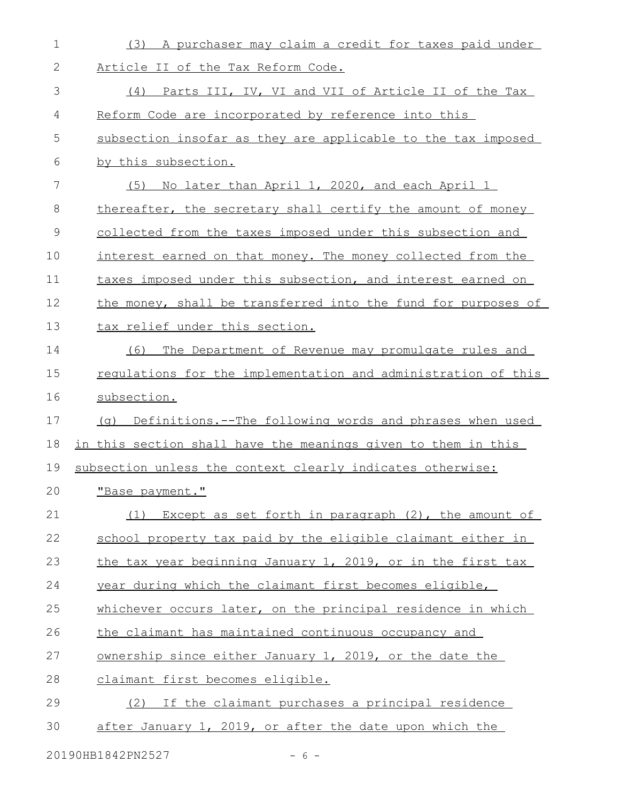| 1  | (3) A purchaser may claim a credit for taxes paid under       |
|----|---------------------------------------------------------------|
| 2  | Article II of the Tax Reform Code.                            |
| 3  | (4) Parts III, IV, VI and VII of Article II of the Tax        |
| 4  | Reform Code are incorporated by reference into this           |
| 5  | subsection insofar as they are applicable to the tax imposed  |
| 6  | by this subsection.                                           |
| 7  | (5) No later than April 1, 2020, and each April 1             |
| 8  | thereafter, the secretary shall certify the amount of money   |
| 9  | collected from the taxes imposed under this subsection and    |
| 10 | interest earned on that money. The money collected from the   |
| 11 | taxes imposed under this subsection, and interest earned on   |
| 12 | the money, shall be transferred into the fund for purposes of |
| 13 | tax relief under this section.                                |
| 14 | The Department of Revenue may promulgate rules and<br>(6)     |
| 15 | regulations for the implementation and administration of this |
| 16 | subsection.                                                   |
| 17 | (q) Definitions.--The following words and phrases when used   |
| 18 | in this section shall have the meanings given to them in this |
| 19 | subsection unless the context clearly indicates otherwise:    |
| 20 | "Base payment."                                               |
| 21 | Except as set forth in paragraph (2), the amount of<br>(1)    |
| 22 | school property tax paid by the eligible claimant either in   |
| 23 | the tax year beginning January 1, 2019, or in the first tax   |
| 24 | year during which the claimant first becomes eligible,        |
| 25 | whichever occurs later, on the principal residence in which   |
| 26 | the claimant has maintained continuous occupancy and          |
| 27 | ownership since either January 1, 2019, or the date the       |
| 28 | claimant first becomes eligible.                              |
| 29 | (2) If the claimant purchases a principal residence           |
| 30 | after January 1, 2019, or after the date upon which the       |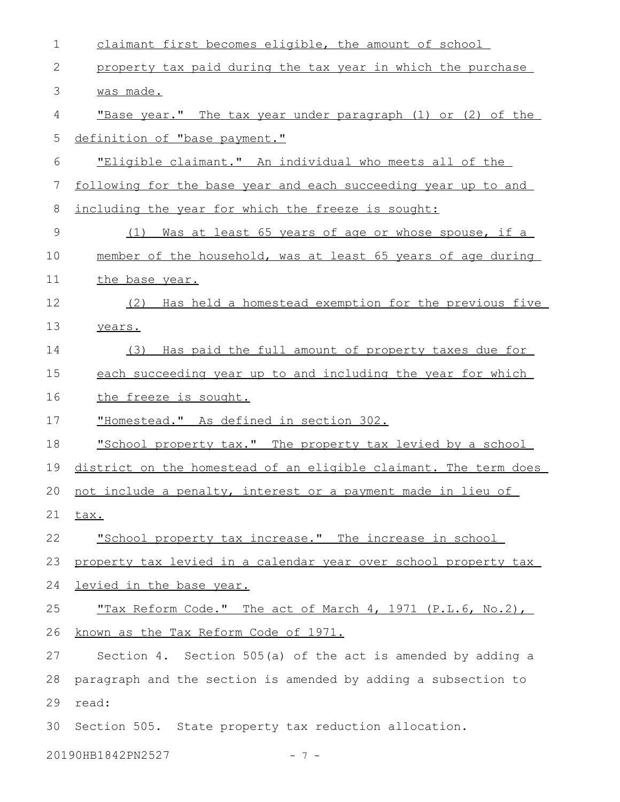| $\mathbf 1$ | claimant first becomes eligible, the amount of school            |
|-------------|------------------------------------------------------------------|
| 2           | property tax paid during the tax year in which the purchase      |
| 3           | was made.                                                        |
| 4           | "Base year." The tax year under paragraph (1) or (2) of the      |
| 5           | definition of "base payment."                                    |
| 6           | "Eligible claimant." An individual who meets all of the          |
| 7           | following for the base year and each succeeding year up to and   |
| 8           | including the year for which the freeze is sought:               |
| 9           | Was at least 65 years of age or whose spouse, if a<br>(1)        |
| 10          | member of the household, was at least 65 years of age during     |
| 11          | the base year.                                                   |
| 12          | (2) Has held a homestead exemption for the previous five         |
| 13          | years.                                                           |
| 14          | Has paid the full amount of property taxes due for<br>(3)        |
| 15          | each succeeding year up to and including the year for which      |
| 16          | the freeze is sought.                                            |
| 17          | "Homestead." As defined in section 302.                          |
| 18          | "School property tax." The property tax levied by a school       |
| 19          | district on the homestead of an eligible claimant. The term does |
|             | 20 not include a penalty, interest or a payment made in lieu of  |
| 21          | tax.                                                             |
| 22          | "School property tax increase." The increase in school           |
| 23          | property tax levied in a calendar year over school property tax  |
| 24          | <u>levied in the base year.</u>                                  |
| 25          | "Tax Reform Code." The act of March 4, 1971 (P.L.6, No.2),       |
| 26          | known as the Tax Reform Code of 1971.                            |
| 27          | Section 4. Section 505(a) of the act is amended by adding a      |
| 28          | paragraph and the section is amended by adding a subsection to   |
| 29          | read:                                                            |
| 30          | Section 505. State property tax reduction allocation.            |
|             | 20190HB1842PN2527<br>- 7 –                                       |